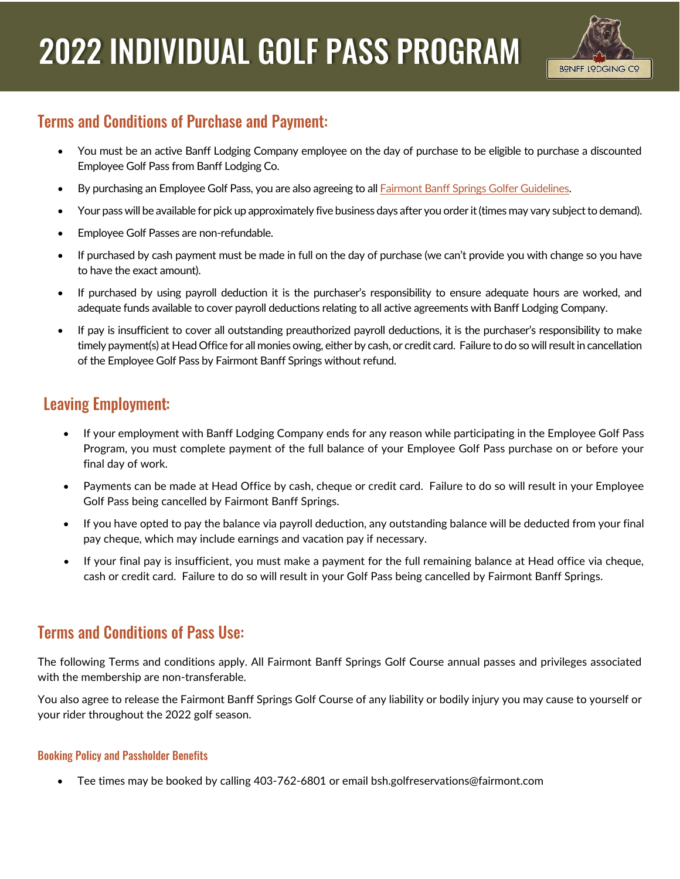

# **Terms and Conditions of Purchase and Payment:**

- You must be an active Banff Lodging Company employee on the day of purchase to be eligible to purchase a discounted Employee Golf Pass from Banff Lodging Co.
- By purchasing an Employee Golf Pass, you are also agreeing to al[l Fairmont Banff Springs Golfer Guidelines.](https://www.banffmountaingolf.com/safety-information)
- Your pass will be available for pick up approximately five business days after you order it (times may vary subject to demand).
- Employee Golf Passes are non-refundable.
- If purchased by cash payment must be made in full on the day of purchase (we can't provide you with change so you have to have the exact amount).
- If purchased by using payroll deduction it is the purchaser's responsibility to ensure adequate hours are worked, and adequate funds available to cover payroll deductions relating to all active agreements with Banff Lodging Company.
- If pay is insufficient to cover all outstanding preauthorized payroll deductions, it is the purchaser's responsibility to make timely payment(s) at Head Office for all monies owing, either by cash, or credit card. Failure to do so will result in cancellation of the Employee Golf Pass by Fairmont Banff Springs without refund.

# **Leaving Employment:**

- If your employment with Banff Lodging Company ends for any reason while participating in the Employee Golf Pass Program, you must complete payment of the full balance of your Employee Golf Pass purchase on or before your final day of work.
- Payments can be made at Head Office by cash, cheque or credit card. Failure to do so will result in your Employee Golf Pass being cancelled by Fairmont Banff Springs.
- If you have opted to pay the balance via payroll deduction, any outstanding balance will be deducted from your final pay cheque, which may include earnings and vacation pay if necessary.
- If your final pay is insufficient, you must make a payment for the full remaining balance at Head office via cheque, cash or credit card. Failure to do so will result in your Golf Pass being cancelled by Fairmont Banff Springs.

# **Terms and Conditions of Pass Use:**

The following Terms and conditions apply. All Fairmont Banff Springs Golf Course annual passes and privileges associated with the membership are non-transferable.

You also agree to release the Fairmont Banff Springs Golf Course of any liability or bodily injury you may cause to yourself or your rider throughout the 2022 golf season.

## **Booking Policy and Passholder Benefits**

• Tee times may be booked by calling 403-762-6801 or email bsh.golfreservations@fairmont.com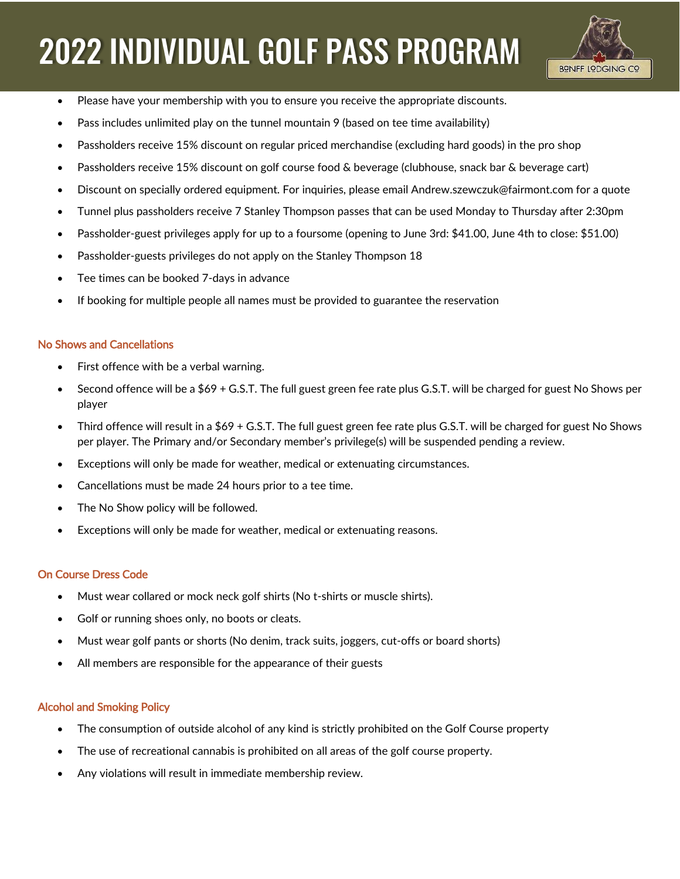# **2022 INDIVIDUAL GOLF PASS PROGRAM**



- Please have your membership with you to ensure you receive the appropriate discounts.
- Pass includes unlimited play on the tunnel mountain 9 (based on tee time availability)
- Passholders receive 15% discount on regular priced merchandise (excluding hard goods) in the pro shop
- Passholders receive 15% discount on golf course food & beverage (clubhouse, snack bar & beverage cart)
- Discount on specially ordered equipment. For inquiries, please email Andrew.szewczuk@fairmont.com for a quote
- Tunnel plus passholders receive 7 Stanley Thompson passes that can be used Monday to Thursday after 2:30pm
- Passholder-guest privileges apply for up to a foursome (opening to June 3rd: \$41.00, June 4th to close: \$51.00)
- Passholder-guests privileges do not apply on the Stanley Thompson 18
- Tee times can be booked 7-days in advance
- If booking for multiple people all names must be provided to guarantee the reservation

### No Shows and Cancellations

- First offence with be a verbal warning.
- Second offence will be a \$69 + G.S.T. The full guest green fee rate plus G.S.T. will be charged for guest No Shows per player
- Third offence will result in a \$69 + G.S.T. The full guest green fee rate plus G.S.T. will be charged for guest No Shows per player. The Primary and/or Secondary member's privilege(s) will be suspended pending a review.
- Exceptions will only be made for weather, medical or extenuating circumstances.
- Cancellations must be made 24 hours prior to a tee time.
- The No Show policy will be followed.
- Exceptions will only be made for weather, medical or extenuating reasons.

### On Course Dress Code

- Must wear collared or mock neck golf shirts (No t-shirts or muscle shirts).
- Golf or running shoes only, no boots or cleats.
- Must wear golf pants or shorts (No denim, track suits, joggers, cut-offs or board shorts)
- All members are responsible for the appearance of their guests

## Alcohol and Smoking Policy

- The consumption of outside alcohol of any kind is strictly prohibited on the Golf Course property
- The use of recreational cannabis is prohibited on all areas of the golf course property.
- Any violations will result in immediate membership review.